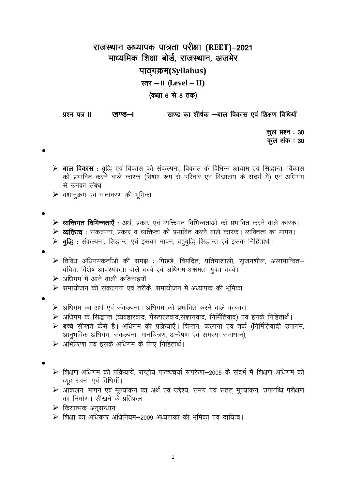## राजस्थान अध्यापक पात्रता परीक्षा (REET)–2021 माध्यमिक शिक्षा बोर्ड, राजस्थान, अजमेर पाठ्यक्रम(Syllabus) स्तर  $-$  II (Level  $-$  II) (कक्षा 6 से 8 तक)

खण्ड का शीर्षक —बाल विकास एवं शिक्षण विधियाँ प्रश्न पत्र ॥ खण्ड—।

> कूल प्रश्न : 30 कूल अंक : 30

- $\triangleright$  बाल विकास : वद्धि एवं विकास की संकल्पना, विकास के विभिन्न आयाम एवं सिद्धान्त, विकास को प्रभावित करने वाले कारक (विशेष रूप से परिवार एवं विद्यालय के संदर्भ में) एवं अधिगम से उनका संबंध ।
- $\triangleright$  वंशानुक्रम एवं वातावरण की भूमिका

- **≽ व्यक्तिगत विभिन्नताएँ** : अर्थ, प्रकार एवं व्यक्तिगत विभिन्नताओं को प्रभावित करने वाले कारक।  $\triangleright$  **व्यक्तित्व** : संकल्पना, प्रकार व व्यक्तित्व को प्रभावित करने वाले कारक। व्यक्तित्व का मापन।
- $\triangleright$  **बुद्धि** : संकल्पना, सिद्धान्त एवं इसका मापन, बहुबुद्धि सिद्धान्त एवं इसके निहितार्थ।
- 
- $\triangleright$  विविध अधिगमकर्ताओं की समझ : पिछडे, विमंदित, प्रतिभाशाली, सृजनशील, अलाभान्वित– वंचित, विशेष आवश्यकता वाले बच्चे एवं अधिगम अक्षमता युक्त बच्चे।
- ▶ अधिगम में आने वाली कठिनाइयॉ
- $\triangleright$  समायोजन की संकल्पना एवं तरीके, समायोजन में अध्यापक की भूमिका
- 
- ▶ अधिगम का अर्थ एवं संकल्पना। अधिगम को प्रभावित करने वाले कारक।
- ▶ अधिगम के सिद्धान्त (व्यवहारवाद, गैस्टाल्टवाद,संज्ञानवाद, निर्मितिवाद) एवं इनके निहितार्थ।
- ▶ बच्चे सीखते कैसे है। अधिगम की प्रक्रियाएँ। चिन्तन, कल्पना एवं तर्क (निर्मितिवादी उपागम, आनुभविक अधिगम, संकल्पना-मानचित्रण, अन्वेषण एवं समस्या समाधान),
- ▶ अभिप्रेरणा एवं इसके अधिगम के लिए निहितार्थ।

- ▶ शिक्षण अधिगम की प्रक्रियायें, राष्ट्रीय पाठ्यचर्या रूपरेखा-2005 के संदर्भ में शिक्षण अधिगम की व्यह रचना एवं विधियाँ।
- $\triangleright$  आकलन, मापन एवं मूल्यांकन का अर्थ एवं उद्देश्य, समग्र एवं सतत् मूल्यांकन, उपलब्धि परीक्षण का निर्माण। सीखने के प्रतिफल
- $\triangleright$  क्रियात्मक अनुसन्धान
- ▶ शिक्षा का अधिकार अधिनियम-2009 अध्यापकों की भूमिका एवं दायित्व।